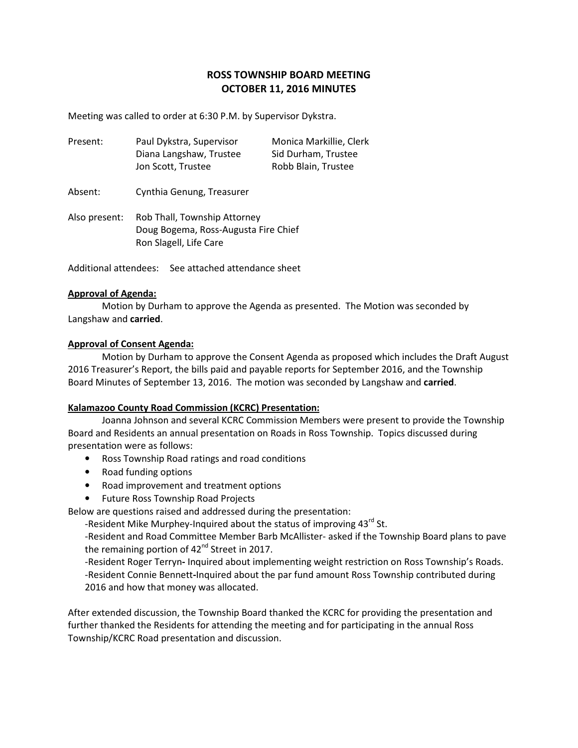# **ROSS TOWNSHIP BOARD MEETING OCTOBER 11, 2016 MINUTES**

Meeting was called to order at 6:30 P.M. by Supervisor Dykstra.

| Present: | Paul Dykstra, Supervisor | Monica Markillie, Clerk |
|----------|--------------------------|-------------------------|
|          | Diana Langshaw, Trustee  | Sid Durham, Trustee     |
|          | Jon Scott, Trustee       | Robb Blain, Trustee     |

Absent: Cynthia Genung, Treasurer

Also present: Rob Thall, Township Attorney Doug Bogema, Ross-Augusta Fire Chief Ron Slagell, Life Care

Additional attendees: See attached attendance sheet

#### **Approval of Agenda:**

 Motion by Durham to approve the Agenda as presented. The Motion was seconded by Langshaw and **carried**.

#### **Approval of Consent Agenda:**

 Motion by Durham to approve the Consent Agenda as proposed which includes the Draft August 2016 Treasurer's Report, the bills paid and payable reports for September 2016, and the Township Board Minutes of September 13, 2016. The motion was seconded by Langshaw and **carried**.

#### **Kalamazoo County Road Commission (KCRC) Presentation:**

 Joanna Johnson and several KCRC Commission Members were present to provide the Township Board and Residents an annual presentation on Roads in Ross Township. Topics discussed during presentation were as follows:

- Ross Township Road ratings and road conditions
- Road funding options
- Road improvement and treatment options
- Future Ross Township Road Projects

Below are questions raised and addressed during the presentation:

-Resident Mike Murphey-Inquired about the status of improving  $43^{rd}$  St.

-Resident and Road Committee Member Barb McAllister- asked if the Township Board plans to pave the remaining portion of 42<sup>nd</sup> Street in 2017.

-Resident Roger Terryn**-** Inquired about implementing weight restriction on Ross Township's Roads. -Resident Connie Bennett**-**Inquired about the par fund amount Ross Township contributed during 2016 and how that money was allocated.

After extended discussion, the Township Board thanked the KCRC for providing the presentation and further thanked the Residents for attending the meeting and for participating in the annual Ross Township/KCRC Road presentation and discussion.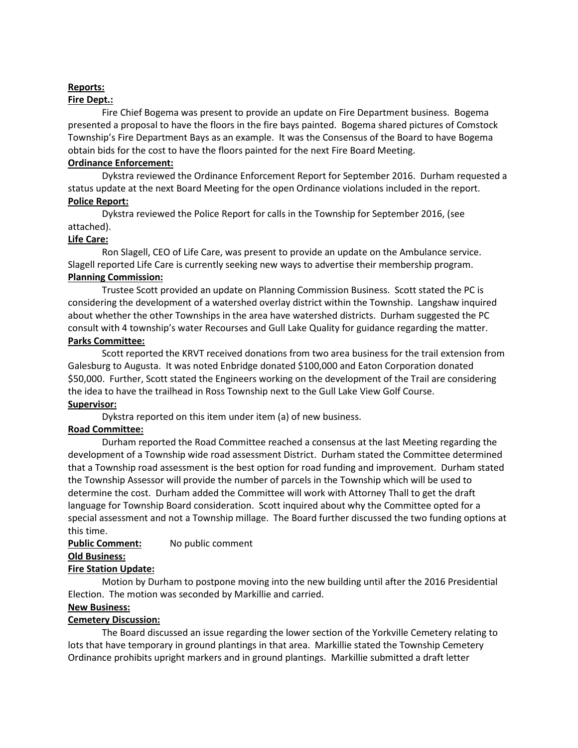## **Reports:**

## **Fire Dept.:**

 Fire Chief Bogema was present to provide an update on Fire Department business. Bogema presented a proposal to have the floors in the fire bays painted. Bogema shared pictures of Comstock Township's Fire Department Bays as an example. It was the Consensus of the Board to have Bogema obtain bids for the cost to have the floors painted for the next Fire Board Meeting.

## **Ordinance Enforcement:**

 Dykstra reviewed the Ordinance Enforcement Report for September 2016. Durham requested a status update at the next Board Meeting for the open Ordinance violations included in the report. **Police Report:** 

 Dykstra reviewed the Police Report for calls in the Township for September 2016, (see attached).

# **Life Care:**

 Ron Slagell, CEO of Life Care, was present to provide an update on the Ambulance service. Slagell reported Life Care is currently seeking new ways to advertise their membership program. **Planning Commission:** 

 Trustee Scott provided an update on Planning Commission Business. Scott stated the PC is considering the development of a watershed overlay district within the Township. Langshaw inquired about whether the other Townships in the area have watershed districts. Durham suggested the PC consult with 4 township's water Recourses and Gull Lake Quality for guidance regarding the matter. **Parks Committee:** 

 Scott reported the KRVT received donations from two area business for the trail extension from Galesburg to Augusta. It was noted Enbridge donated \$100,000 and Eaton Corporation donated \$50,000. Further, Scott stated the Engineers working on the development of the Trail are considering the idea to have the trailhead in Ross Township next to the Gull Lake View Golf Course. **Supervisor:** 

Dykstra reported on this item under item (a) of new business.

# **Road Committee:**

 Durham reported the Road Committee reached a consensus at the last Meeting regarding the development of a Township wide road assessment District. Durham stated the Committee determined that a Township road assessment is the best option for road funding and improvement. Durham stated the Township Assessor will provide the number of parcels in the Township which will be used to determine the cost. Durham added the Committee will work with Attorney Thall to get the draft language for Township Board consideration. Scott inquired about why the Committee opted for a special assessment and not a Township millage. The Board further discussed the two funding options at this time.

# **Public Comment:** No public comment

#### **Old Business:**

# **Fire Station Update:**

 Motion by Durham to postpone moving into the new building until after the 2016 Presidential Election. The motion was seconded by Markillie and carried.

#### **New Business:**

# **Cemetery Discussion:**

 The Board discussed an issue regarding the lower section of the Yorkville Cemetery relating to lots that have temporary in ground plantings in that area. Markillie stated the Township Cemetery Ordinance prohibits upright markers and in ground plantings. Markillie submitted a draft letter